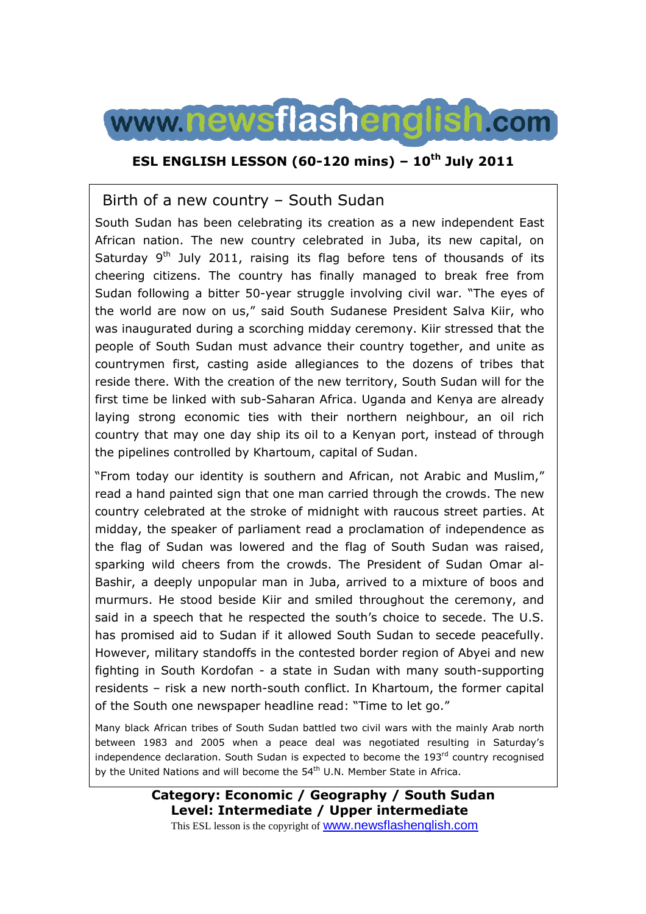

### **ESL ENGLISH LESSON (60-120 mins) – 10th July 2011**

## Birth of a new country – South Sudan

South Sudan has been celebrating its creation as a new independent East African nation. The new country celebrated in Juba, its new capital, on Saturday  $9<sup>th</sup>$  July 2011, raising its flag before tens of thousands of its cheering citizens. The country has finally managed to break free from Sudan following a bitter 50-year struggle involving civil war. "The eyes of the world are now on us," said South Sudanese President Salva Kiir, who was inaugurated during a scorching midday ceremony. Kiir stressed that the people of South Sudan must advance their country together, and unite as countrymen first, casting aside allegiances to the dozens of tribes that reside there. With the creation of the new territory, South Sudan will for the first time be linked with sub-Saharan Africa. Uganda and Kenya are already laying strong economic ties with their northern neighbour, an oil rich country that may one day ship its oil to a Kenyan port, instead of through the pipelines controlled by Khartoum, capital of Sudan.

"From today our identity is southern and African, not Arabic and Muslim," read a hand painted sign that one man carried through the crowds. The new country celebrated at the stroke of midnight with raucous street parties. At midday, the speaker of parliament read a proclamation of independence as the flag of Sudan was lowered and the flag of South Sudan was raised, sparking wild cheers from the crowds. The President of Sudan Omar al-Bashir, a deeply unpopular man in Juba, arrived to a mixture of boos and murmurs. He stood beside Kiir and smiled throughout the ceremony, and said in a speech that he respected the south's choice to secede. The U.S. has promised aid to Sudan if it allowed South Sudan to secede peacefully. However, military standoffs in the contested border region of Abyei and new fighting in South Kordofan - a state in Sudan with many south-supporting residents – risk a new north-south conflict. In Khartoum, the former capital of the South one newspaper headline read: "Time to let go."

Many black African tribes of South Sudan battled two civil wars with the mainly Arab north between 1983 and 2005 when a peace deal was negotiated resulting in Saturday's independence declaration. South Sudan is expected to become the  $193<sup>rd</sup>$  country recognised by the United Nations and will become the 54<sup>th</sup> U.N. Member State in Africa.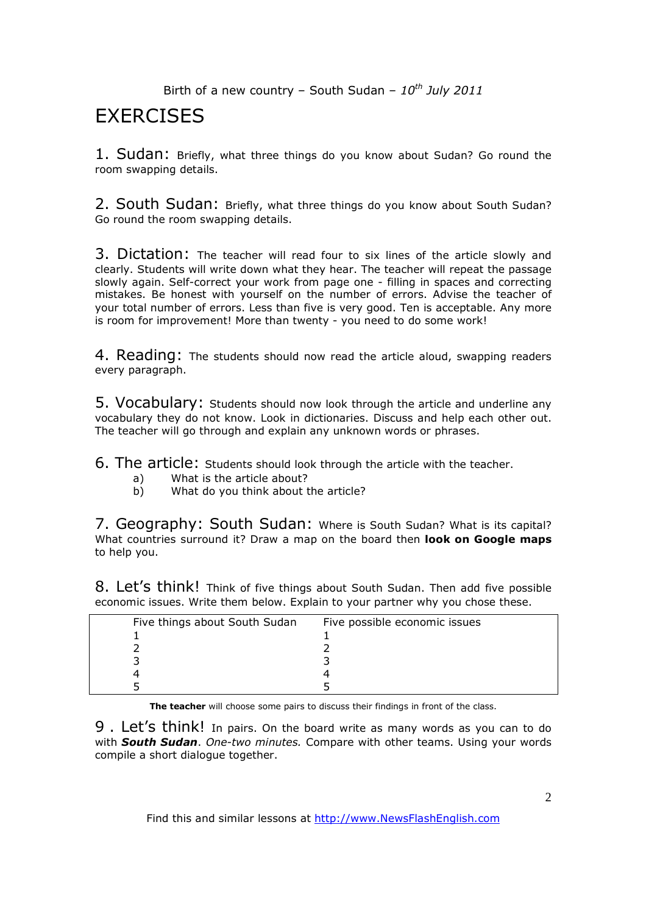# **EXERCISES**

1. Sudan: Briefly, what three things do you know about Sudan? Go round the room swapping details.

2. South Sudan: Briefly, what three things do you know about South Sudan? Go round the room swapping details.

3. Dictation: The teacher will read four to six lines of the article slowly and clearly. Students will write down what they hear. The teacher will repeat the passage slowly again. Self-correct your work from page one - filling in spaces and correcting mistakes. Be honest with yourself on the number of errors. Advise the teacher of your total number of errors. Less than five is very good. Ten is acceptable. Any more is room for improvement! More than twenty - you need to do some work!

4. Reading: The students should now read the article aloud, swapping readers every paragraph.

5. Vocabulary: Students should now look through the article and underline any vocabulary they do not know. Look in dictionaries. Discuss and help each other out. The teacher will go through and explain any unknown words or phrases.

6. The article: Students should look through the article with the teacher.

- a) What is the article about?
- b) What do you think about the article?

7. Geography: South Sudan: Where is South Sudan? What is its capital? What countries surround it? Draw a map on the board then **look on Google maps** to help you.

8. Let's think! Think of five things about South Sudan. Then add five possible economic issues. Write them below. Explain to your partner why you chose these.

| Five things about South Sudan | Five possible economic issues |
|-------------------------------|-------------------------------|
|                               |                               |
|                               |                               |
|                               |                               |
|                               |                               |
|                               |                               |

**The teacher** will choose some pairs to discuss their findings in front of the class.

9 . Let's think! In pairs. On the board write as many words as you can to do with *South Sudan*. *One-two minutes.* Compare with other teams. Using your words compile a short dialogue together.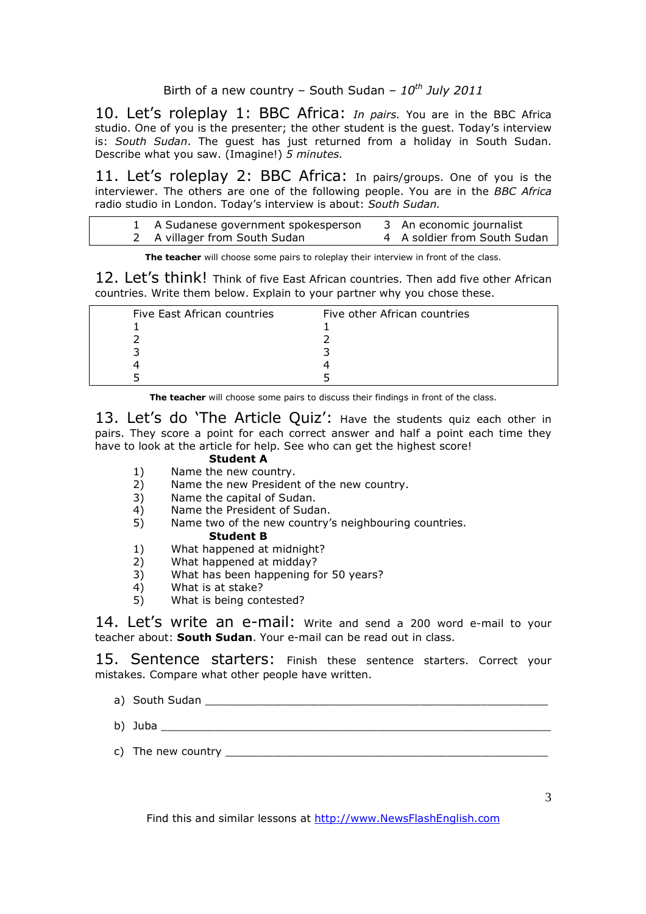10. Let's roleplay 1: BBC Africa: *In pairs.* You are in the BBC Africa studio. One of you is the presenter; the other student is the guest. Today's interview is: *South Sudan*. The guest has just returned from a holiday in South Sudan. Describe what you saw. (Imagine!) *5 minutes.* 

11. Let's roleplay 2: BBC Africa: In pairs/groups. One of you is the interviewer. The others are one of the following people. You are in the *BBC Africa*  radio studio in London. Today's interview is about: *South Sudan.* 

| 1 A Sudanese government spokesperson | 3 An economic journalist     |
|--------------------------------------|------------------------------|
| 2 A villager from South Sudan        | 4 A soldier from South Sudan |

**The teacher** will choose some pairs to roleplay their interview in front of the class.

12. Let's think! Think of five East African countries. Then add five other African countries. Write them below. Explain to your partner why you chose these.

| Five East African countries | Five other African countries |  |
|-----------------------------|------------------------------|--|
|                             |                              |  |
|                             |                              |  |
|                             |                              |  |
|                             |                              |  |
|                             |                              |  |

**The teacher** will choose some pairs to discuss their findings in front of the class.

13. Let's do 'The Article Quiz': Have the students quiz each other in pairs. They score a point for each correct answer and half a point each time they have to look at the article for help. See who can get the highest score!

### **Student A**

- 1) Name the new country.
- 2) Name the new President of the new country.
- 3) Name the capital of Sudan.
- 4) Name the President of Sudan.
- 5) Name two of the new country's neighbouring countries. **Student B**
- 1) What happened at midnight?
- 2) What happened at midday?
- 3) What has been happening for 50 years?
- 4) What is at stake?<br>5) What is being con
- What is being contested?

14. Let's write an e-mail: Write and send a 200 word e-mail to your teacher about: **South Sudan**. Your e-mail can be read out in class.

15. Sentence starters: Finish these sentence starters. Correct your mistakes. Compare what other people have written.

- a) South Sudan **Exercise Summary Section** Section 2014 12:38:38
- b) Juba \_\_\_\_\_\_\_\_\_\_\_\_\_\_\_\_\_\_\_\_\_\_\_\_\_\_\_\_\_\_\_\_\_\_\_\_\_\_\_\_\_\_\_\_\_\_\_\_\_\_\_\_\_\_\_\_\_\_
- c) The new country  $\frac{1}{2}$  The new country  $\frac{1}{2}$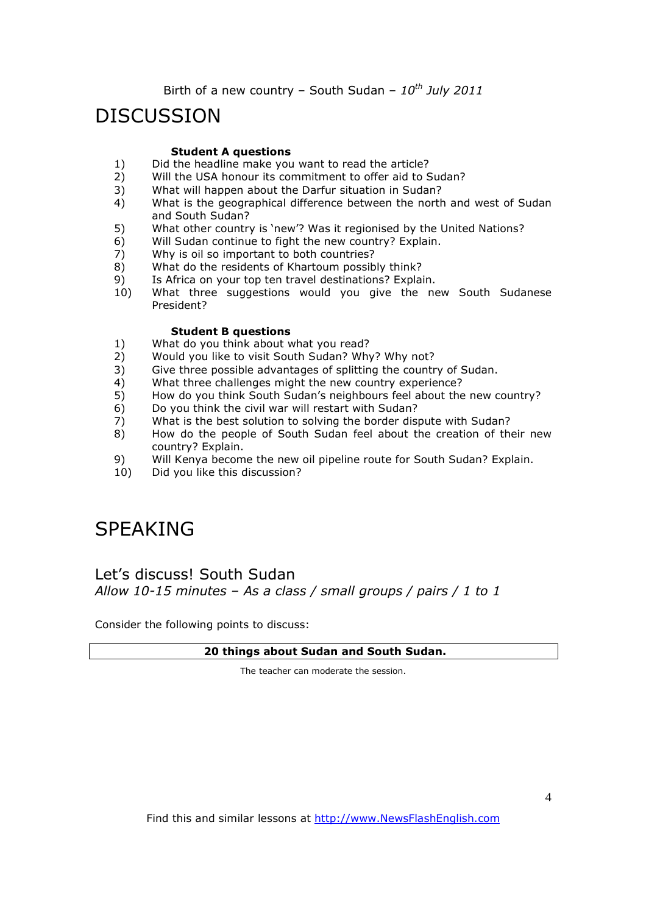# DISCUSSION

#### **Student A questions**

- 1) Did the headline make you want to read the article?<br>2) Will the USA honour its commitment to offer aid to S
- Will the USA honour its commitment to offer aid to Sudan?
- 3) What will happen about the Darfur situation in Sudan?
- 4) What is the geographical difference between the north and west of Sudan and South Sudan?
- 5) What other country is 'new'? Was it regionised by the United Nations?
- 6) Will Sudan continue to fight the new country? Explain.<br>7) Why is oil so important to both countries?
- Why is oil so important to both countries?
- 8) What do the residents of Khartoum possibly think?
- 9) Is Africa on your top ten travel destinations? Explain.
- 10) What three suggestions would you give the new South Sudanese President?

#### **Student B questions**

- 1) What do you think about what you read?
- 2) Would you like to visit South Sudan? Why? Why not?
- 3) Give three possible advantages of splitting the country of Sudan.
- 4) What three challenges might the new country experience?
- 5) How do you think South Sudan's neighbours feel about the new country?
- 6) Do you think the civil war will restart with Sudan?<br>7) What is the best solution to solving the border dis
- What is the best solution to solving the border dispute with Sudan?
- 8) How do the people of South Sudan feel about the creation of their new country? Explain.
- 9) Will Kenya become the new oil pipeline route for South Sudan? Explain.
- 10) Did you like this discussion?

# SPEAKING

### Let's discuss! South Sudan *Allow 10-15 minutes – As a class / small groups / pairs / 1 to 1*

Consider the following points to discuss:

#### **20 things about Sudan and South Sudan.**

The teacher can moderate the session.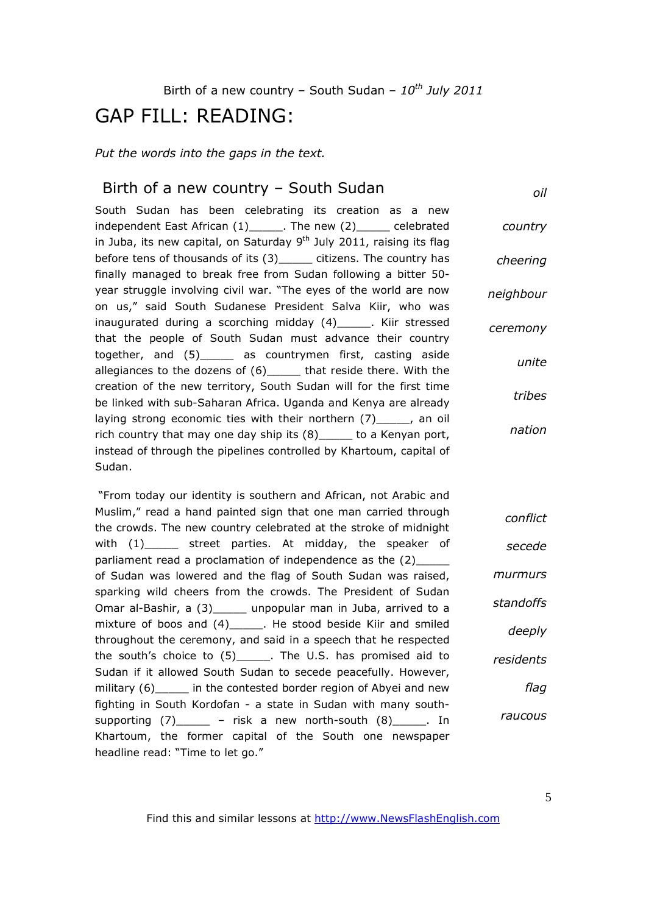# GAP FILL: READING:

*Put the words into the gaps in the text.* 

### Birth of a new country – South Sudan

*oil*

South Sudan has been celebrating its creation as a new independent East African (1)\_\_\_\_\_\_. The new (2)\_\_\_\_\_\_ celebrated in Juba, its new capital, on Saturday  $9<sup>th</sup>$  July 2011, raising its flag before tens of thousands of its (3) citizens. The country has finally managed to break free from Sudan following a bitter 50 year struggle involving civil war. "The eyes of the world are now on us," said South Sudanese President Salva Kiir, who was inaugurated during a scorching midday (4)\_\_\_\_\_. Kiir stressed that the people of South Sudan must advance their country together, and (5)\_\_\_\_\_ as countrymen first, casting aside allegiances to the dozens of  $(6)$  that reside there. With the creation of the new territory, South Sudan will for the first time be linked with sub-Saharan Africa. Uganda and Kenya are already laying strong economic ties with their northern (7) \_\_\_\_\_, an oil rich country that may one day ship its (8) to a Kenyan port, instead of through the pipelines controlled by Khartoum, capital of Sudan. *country cheering neighbour ceremony unite tribes nation*

 "From today our identity is southern and African, not Arabic and Muslim," read a hand painted sign that one man carried through the crowds. The new country celebrated at the stroke of midnight with (1) street parties. At midday, the speaker of parliament read a proclamation of independence as the (2) of Sudan was lowered and the flag of South Sudan was raised, sparking wild cheers from the crowds. The President of Sudan Omar al-Bashir, a (3)\_\_\_\_\_ unpopular man in Juba, arrived to a mixture of boos and (4) The stood beside Kiir and smiled throughout the ceremony, and said in a speech that he respected the south's choice to (5)\_\_\_\_\_. The U.S. has promised aid to Sudan if it allowed South Sudan to secede peacefully. However, military (6) in the contested border region of Abyei and new fighting in South Kordofan - a state in Sudan with many southsupporting  $(7)$  – risk a new north-south  $(8)$  . In Khartoum, the former capital of the South one newspaper headline read: "Time to let go." *conflict secede murmurs standoffs deeply residents flag raucous*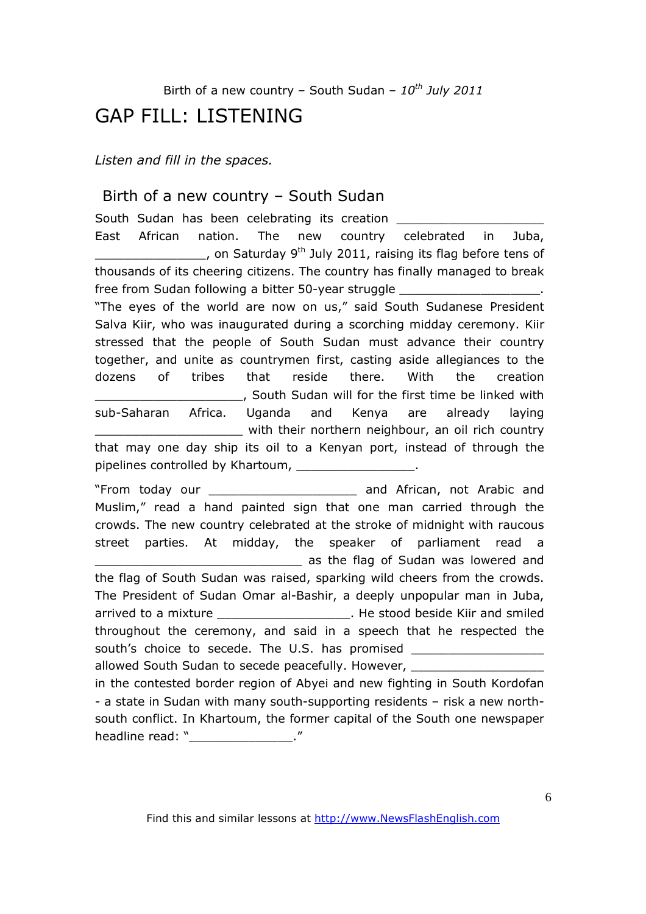# GAP FILL: LISTENING

*Listen and fill in the spaces.* 

### Birth of a new country – South Sudan

South Sudan has been celebrating its creation East African nation. The new country celebrated in Juba, , on Saturday 9<sup>th</sup> July 2011, raising its flag before tens of thousands of its cheering citizens. The country has finally managed to break free from Sudan following a bitter 50-year struggle "The eyes of the world are now on us," said South Sudanese President Salva Kiir, who was inaugurated during a scorching midday ceremony. Kiir stressed that the people of South Sudan must advance their country together, and unite as countrymen first, casting aside allegiances to the dozens of tribes that reside there. With the creation \_\_\_\_\_\_\_\_\_\_\_\_\_\_\_\_\_\_\_\_, South Sudan will for the first time be linked with sub-Saharan Africa. Uganda and Kenya are already laying \_\_\_\_\_\_\_\_\_\_\_\_\_\_\_\_\_\_\_\_ with their northern neighbour, an oil rich country that may one day ship its oil to a Kenyan port, instead of through the pipelines controlled by Khartoum, pipelines controlled by Khartoum, "From today our \_\_\_\_\_\_\_\_\_\_\_\_\_\_\_\_\_\_\_\_ and African, not Arabic and Muslim," read a hand painted sign that one man carried through the crowds. The new country celebrated at the stroke of midnight with raucous street parties. At midday, the speaker of parliament read a as the flag of Sudan was lowered and the flag of South Sudan was raised, sparking wild cheers from the crowds. The President of Sudan Omar al-Bashir, a deeply unpopular man in Juba, arrived to a mixture \_\_\_\_\_\_\_\_\_\_\_\_\_\_\_\_\_\_\_\_\_\_\_. He stood beside Kiir and smiled throughout the ceremony, and said in a speech that he respected the south's choice to secede. The U.S. has promised allowed South Sudan to secede peacefully. However, in the contested border region of Abyei and new fighting in South Kordofan - a state in Sudan with many south-supporting residents – risk a new northsouth conflict. In Khartoum, the former capital of the South one newspaper

headline read: " The set of the set of the set of the set of the set of the set of the set of the set of the s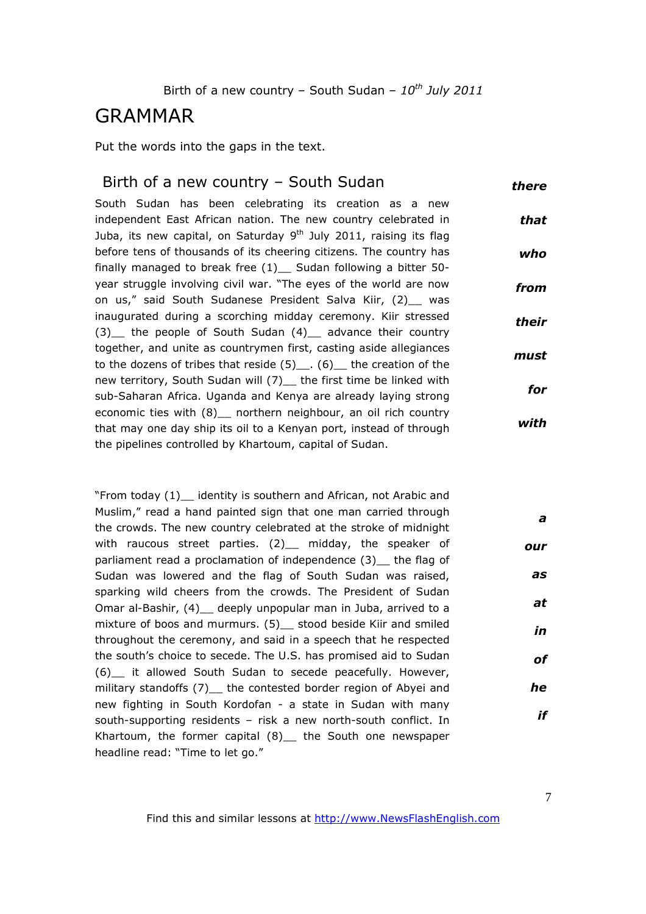# GRAMMAR

Put the words into the gaps in the text.

#### Birth of a new country – South Sudan *there*

South Sudan has been celebrating its creation as a new independent East African nation. The new country celebrated in Juba, its new capital, on Saturday  $9<sup>th</sup>$  July 2011, raising its flag before tens of thousands of its cheering citizens. The country has finally managed to break free  $(1)$  Sudan following a bitter 50year struggle involving civil war. "The eyes of the world are now on us," said South Sudanese President Salva Kiir, (2) was inaugurated during a scorching midday ceremony. Kiir stressed (3) the people of South Sudan (4) advance their country together, and unite as countrymen first, casting aside allegiances to the dozens of tribes that reside  $(5)$  .  $(6)$  the creation of the new territory, South Sudan will (7) the first time be linked with sub-Saharan Africa. Uganda and Kenya are already laying strong economic ties with (8) northern neighbour, an oil rich country that may one day ship its oil to a Kenyan port, instead of through the pipelines controlled by Khartoum, capital of Sudan. *that who from their must for with*

"From today (1)\_\_ identity is southern and African, not Arabic and Muslim," read a hand painted sign that one man carried through the crowds. The new country celebrated at the stroke of midnight with raucous street parties. (2)\_\_ midday, the speaker of parliament read a proclamation of independence (3) the flag of Sudan was lowered and the flag of South Sudan was raised, sparking wild cheers from the crowds. The President of Sudan Omar al-Bashir, (4)\_\_ deeply unpopular man in Juba, arrived to a mixture of boos and murmurs. (5) stood beside Kiir and smiled throughout the ceremony, and said in a speech that he respected the south's choice to secede. The U.S. has promised aid to Sudan (6)\_\_ it allowed South Sudan to secede peacefully. However, military standoffs (7) the contested border region of Abyei and new fighting in South Kordofan - a state in Sudan with many south-supporting residents – risk a new north-south conflict. In Khartoum, the former capital (8)\_ the South one newspaper headline read: "Time to let go." *a our as at in of he if*